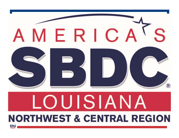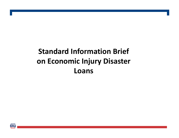## **Standard Information Brief on Economic Injury Disaster Loans**

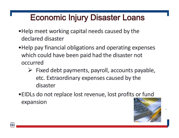- •Help meet working capital needs caused by the declared disaster
- •Help pay financial obligations and operating expenses which could have been paid had the disaster not occurred
	- $\triangleright$  Fixed debt payments, payroll, accounts payable, etc. Extraordinary expenses caused by the disaster
- •EIDLs do not replace lost revenue, lost profits or fund expansion

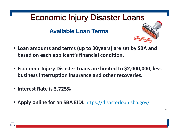#### **Available Loan Terms**



- **Loan amounts and terms (up to 30years) are set by SBA and based on each applicant's financial condition.**
- **Economic Injury Disaster Loans are limited to \$2,000,000, less business interruption insurance and other recoveries.**
- **Interest Rate is 3.725%**
- **Apply online for an SBA EIDL** https://disasterloan.sba.gov/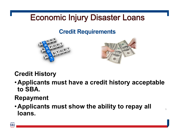#### **Credit Requirements**





5

### **Credit History**

•**Applicants must have a credit history acceptable to SBA.**

#### **Repayment**

•**Applicants must show the ability to repay all loans.**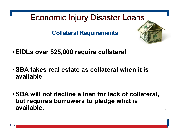**Collateral Requirements**



- •**EIDLs over \$25,000 require collateral**
- •**SBA takes real estate as collateral when it is available**
- •**SBA will not decline a loan for lack of collateral, but requires borrowers to pledge what is available.**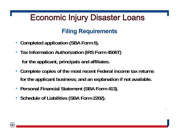### **Filing Requirements**

- **Completed application (SBA Form 5).**
- **Tax Information Authorization (IRS Form 4506T) for the applicant, principals and affiliates.**
- **Complete copies of the most recent Federal income tax returns for the applicant business; and an explanation if not available.**

- **Personal Financial Statement (SBA Form 413).**
- **Schedule of Liabilities (SBA Form 2202).**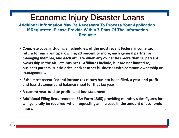**Additional Information May Be Necessary To Process Your Application. If Requested, Please Provide Within 7 Days Of The Information Request:**

- **Complete copy, including all schedules, of the most recent Federal income tax return for each principal owning 20 percent or more, each general partner or managing member, and each affiliate when any owner has more than 50 percent ownership in the affiliate business. Affiliates include, but are not limited to, business parents, subsidiaries, and/or other businesses with common ownership or management.**
- **If the most recent Federal income tax return has not been filed, a year‐end profit‐ and‐loss statement and balance sheet for that tax year**
- **A current year‐to‐date profit –and‐loss statement**
- **Additional Filing Requirements (SBA Form 1368) providing monthly sales figures for will generally be required when requesting an increase in the amount of economic injury.**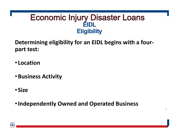#### **Economic Injury Disaster Loans EIDL Eligibility**

**Determining eligibility for an EIDL begins with a four‐ part test:**

- **Location**
- •**Business Activity**
- **Size**
- •**Independently Owned and Operated Business**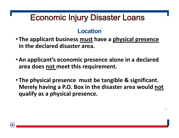#### **Location**

- **The applicant business must have a physical presence in the declared disaster area.**
- •**An applicant's economic presence alone in a declared area does not meet this requirement.**
- **The physical presence must be tangible & significant. Merely having a P.O. Box in the disaster area would not qualify as a physical presence.**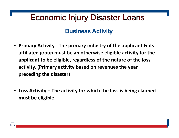#### **Business Activity**

- **Primary Activity ‐ The primary industry of the applicant & its affiliated group must be an otherwise eligible activity for the applicant to be eligible, regardless of the nature of the loss activity. (Primary activity based on revenues the year preceding the disaster)**
- **Loss Activity – The activity for which the loss is being claimed must be eligible.**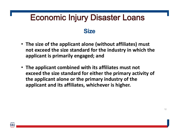#### **Size**

- **The size of the applicant alone (without affiliates) must not exceed the size standard for the industry in which the applicant is primarily engaged; and**
- **The applicant combined with its affiliates must not exceed the size standard for either the primary activity of the applicant alone or the primary industry of the applicant and its affiliates, whichever is higher.**

SB.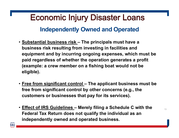#### **Independently Owned and Operated**

- **Substantial business risk – The principals must have a business risk resulting from investing in facilities and equipment and by incurring ongoing expenses, which must be paid regardless of whether the operation generates a profit (example: a crew member on a fishing boat would not be eligible).**
- **Free from significant control – The applicant business must be free from significant control by other concerns (e.g., the customers or businesses that pay for its services).**
- **Effect of IRS Guidelines – Merely filing a Schedule C with the Federal Tax Return does not qualify the individual as an**  independently owned and operated business.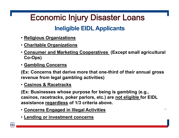### **Ineligible EIDL Applicants**

- **Religious Organizations**
- **Charitable Organizations**
- **Consumer and Marketing Cooperatives (Except small agricultural Co-Ops)**
- **Gambling Concerns**

**(Ex: Concerns that derive more that one-third of their annual gross revenue from legal gambling activities)**

• **Casinos & Racetracks** 

**(Ex: Businesses whose purpose for being is gambling (e.g., casinos, racetracks, poker parlors, etc.) are not eligible for EIDL assistance regardless of 1/3 criteria above.**

- **Concerns Engaged in Illegal Activities**
- **Lending or investment concerns**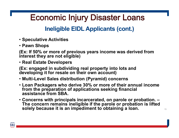#### **Ineligible EIDL Applicants (cont.)**

- **Speculative Activities**
- **Pawn Shops**

**(Ex: If 50% or more of previous years income was derived from interest they are not eligible)**

• **Real Estate Developers** 

**(Ex: engaged in subdividing real property into lots and developing it for resale on their own account)**

- **Multi-Level Sales distribution (Pyramid) concerns**
- **Loan Packagers who derive 30% or more of their annual income from the preparation of applications seeking financial assistance from SBA.**
- **Concerns with principals incarcerated, on parole or probation. – The concern remains ineligible if the parole or probation is lifted solely because it is an impediment to obtaining a loan.**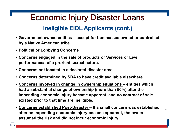### **Economic Injury Disaster Loans Ineligible EIDL Applicants (cont.)**

- **Government owned entities – except for businesses owned or controlled by a Native American tribe.**
- **Political or Lobbying Concerns**
- **Concerns engaged in the sale of products or Services or Live performances of a prurient sexual nature.**
- **Concerns not located in a declared disaster area**
- **Concerns determined by SBA to have credit available elsewhere.**
- **Concerns involved in change in ownership situations – entities which had a substantial change of ownership (more than 50%) after the impending economic injury became apparent, and no contract of sale existed prior to that time are ineligible.**
- **Concerns established Post-Disaster – If a small concern was established after an impending economic injury became apparent, the owner assumed the risk and did not incur economic injury.**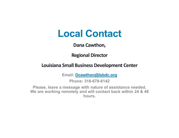## **Local Contact**

#### **Dana Cawthon,**

**Regional Director** 

#### **Louisiana Small Business Development Center**

**Email: Dcawthon@lsbdc.org**

**Phone: 318-678-6142**

**Please, leave a message with nature of assistance needed. We are working remotely and will contact back within 24 & 48 hours.**